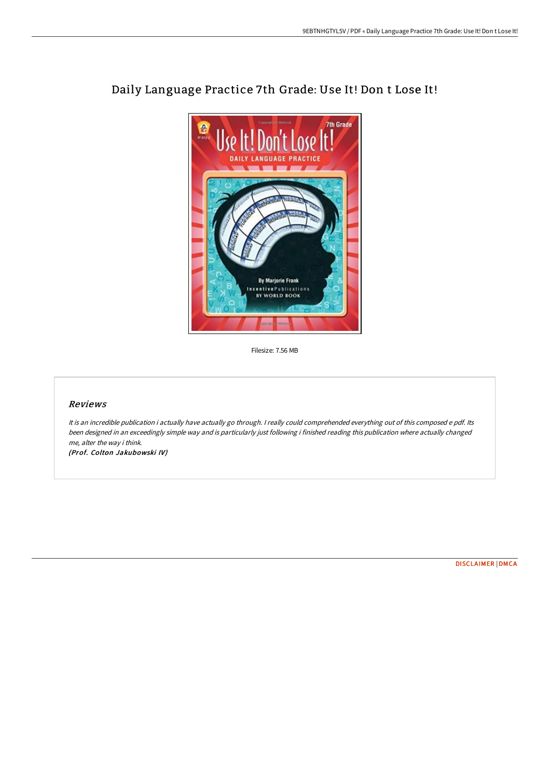

## Daily Language Practice 7th Grade: Use It! Don t Lose It!

Filesize: 7.56 MB

## Reviews

It is an incredible publication i actually have actually go through. <sup>I</sup> really could comprehended everything out of this composed <sup>e</sup> pdf. Its been designed in an exceedingly simple way and is particularly just following i finished reading this publication where actually changed me, alter the way i think.

(Prof. Colton Jakubowski IV)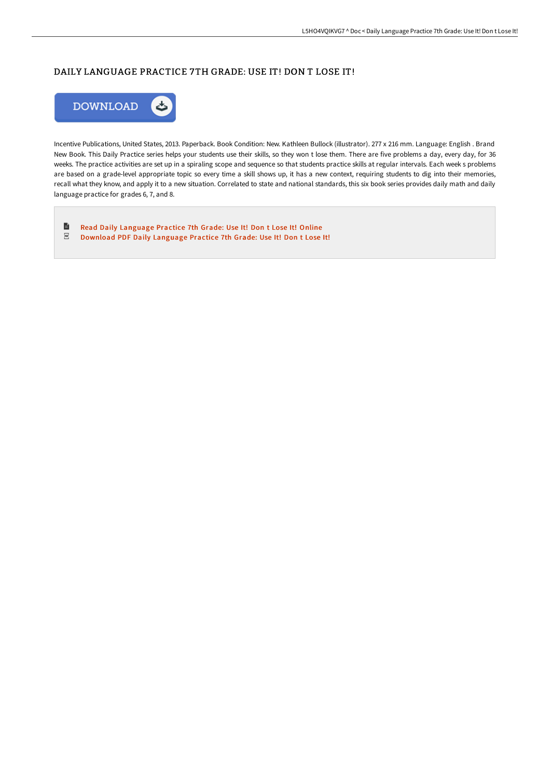## DAILY LANGUAGE PRACTICE 7TH GRADE: USE IT! DON T LOSE IT!



Incentive Publications, United States, 2013. Paperback. Book Condition: New. Kathleen Bullock (illustrator). 277 x 216 mm. Language: English . Brand New Book. This Daily Practice series helps your students use their skills, so they won t lose them. There are five problems a day, every day, for 36 weeks. The practice activities are set up in a spiraling scope and sequence so that students practice skills at regular intervals. Each week s problems are based on a grade-level appropriate topic so every time a skill shows up, it has a new context, requiring students to dig into their memories, recall what they know, and apply it to a new situation. Correlated to state and national standards, this six book series provides daily math and daily language practice for grades 6, 7, and 8.

 $\blacksquare$ Read Daily [Language](http://techno-pub.tech/daily-language-practice-7th-grade-use-it-don-t-l.html) Practice 7th Grade: Use It! Don t Lose It! Online  $_{\rm per}$ [Download](http://techno-pub.tech/daily-language-practice-7th-grade-use-it-don-t-l.html) PDF Daily Language Practice 7th Grade: Use It! Don t Lose It!